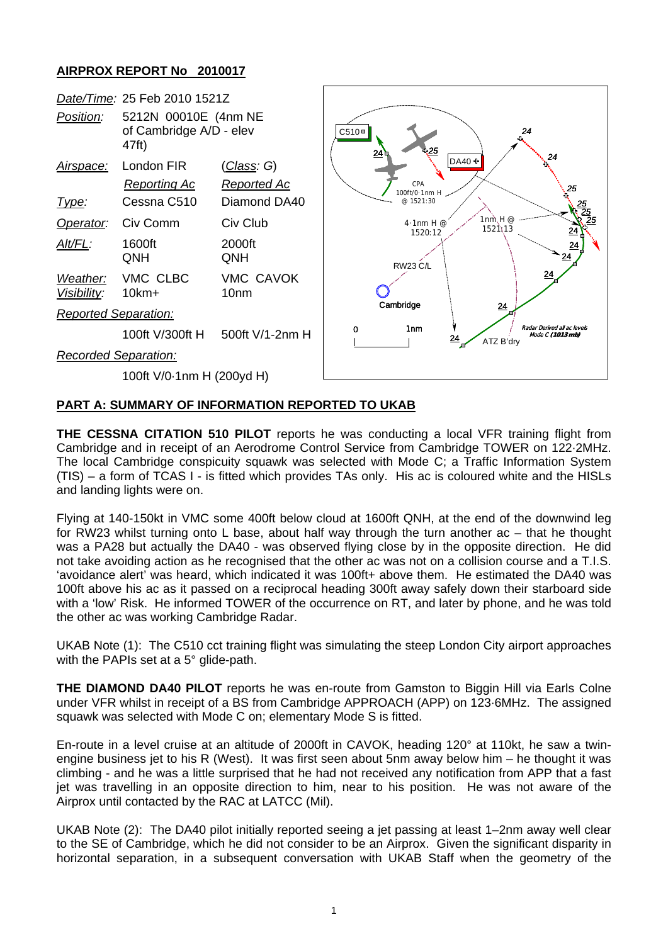## **AIRPROX REPORT No 2010017**



## **PART A: SUMMARY OF INFORMATION REPORTED TO UKAB**

**THE CESSNA CITATION 510 PILOT** reports he was conducting a local VFR training flight from Cambridge and in receipt of an Aerodrome Control Service from Cambridge TOWER on 122·2MHz. The local Cambridge conspicuity squawk was selected with Mode C; a Traffic Information System (TIS) – a form of TCAS I - is fitted which provides TAs only. His ac is coloured white and the HISLs and landing lights were on.

Flying at 140-150kt in VMC some 400ft below cloud at 1600ft QNH, at the end of the downwind leg for RW23 whilst turning onto L base, about half way through the turn another ac – that he thought was a PA28 but actually the DA40 - was observed flying close by in the opposite direction. He did not take avoiding action as he recognised that the other ac was not on a collision course and a T.I.S. 'avoidance alert' was heard, which indicated it was 100ft+ above them. He estimated the DA40 was 100ft above his ac as it passed on a reciprocal heading 300ft away safely down their starboard side with a 'low' Risk. He informed TOWER of the occurrence on RT, and later by phone, and he was told the other ac was working Cambridge Radar.

UKAB Note (1): The C510 cct training flight was simulating the steep London City airport approaches with the PAPIs set at a 5° glide-path.

**THE DIAMOND DA40 PILOT** reports he was en-route from Gamston to Biggin Hill via Earls Colne under VFR whilst in receipt of a BS from Cambridge APPROACH (APP) on 123·6MHz. The assigned squawk was selected with Mode C on; elementary Mode S is fitted.

En-route in a level cruise at an altitude of 2000ft in CAVOK, heading 120° at 110kt, he saw a twinengine business jet to his R (West). It was first seen about 5nm away below him – he thought it was climbing - and he was a little surprised that he had not received any notification from APP that a fast jet was travelling in an opposite direction to him, near to his position. He was not aware of the Airprox until contacted by the RAC at LATCC (Mil).

UKAB Note (2): The DA40 pilot initially reported seeing a jet passing at least 1–2nm away well clear to the SE of Cambridge, which he did not consider to be an Airprox. Given the significant disparity in horizontal separation, in a subsequent conversation with UKAB Staff when the geometry of the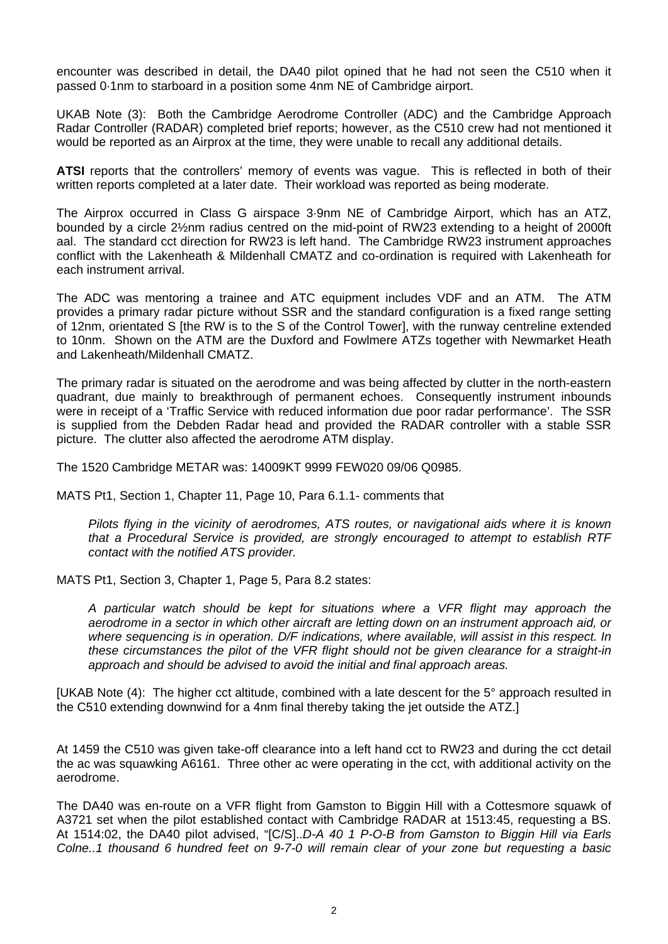encounter was described in detail, the DA40 pilot opined that he had not seen the C510 when it passed 0·1nm to starboard in a position some 4nm NE of Cambridge airport.

UKAB Note (3): Both the Cambridge Aerodrome Controller (ADC) and the Cambridge Approach Radar Controller (RADAR) completed brief reports; however, as the C510 crew had not mentioned it would be reported as an Airprox at the time, they were unable to recall any additional details.

**ATSI** reports that the controllers' memory of events was vague. This is reflected in both of their written reports completed at a later date. Their workload was reported as being moderate.

The Airprox occurred in Class G airspace 3·9nm NE of Cambridge Airport, which has an ATZ, bounded by a circle 2½nm radius centred on the mid-point of RW23 extending to a height of 2000ft aal. The standard cct direction for RW23 is left hand. The Cambridge RW23 instrument approaches conflict with the Lakenheath & Mildenhall CMATZ and co-ordination is required with Lakenheath for each instrument arrival.

The ADC was mentoring a trainee and ATC equipment includes VDF and an ATM. The ATM provides a primary radar picture without SSR and the standard configuration is a fixed range setting of 12nm, orientated S [the RW is to the S of the Control Tower], with the runway centreline extended to 10nm. Shown on the ATM are the Duxford and Fowlmere ATZs together with Newmarket Heath and Lakenheath/Mildenhall CMATZ.

The primary radar is situated on the aerodrome and was being affected by clutter in the north-eastern quadrant, due mainly to breakthrough of permanent echoes. Consequently instrument inbounds were in receipt of a 'Traffic Service with reduced information due poor radar performance'. The SSR is supplied from the Debden Radar head and provided the RADAR controller with a stable SSR picture. The clutter also affected the aerodrome ATM display.

The 1520 Cambridge METAR was: 14009KT 9999 FEW020 09/06 Q0985.

MATS Pt1, Section 1, Chapter 11, Page 10, Para 6.1.1- comments that

*Pilots flying in the vicinity of aerodromes, ATS routes, or navigational aids where it is known that a Procedural Service is provided, are strongly encouraged to attempt to establish RTF contact with the notified ATS provider.* 

MATS Pt1, Section 3, Chapter 1, Page 5, Para 8.2 states:

*A particular watch should be kept for situations where a VFR flight may approach the aerodrome in a sector in which other aircraft are letting down on an instrument approach aid, or where sequencing is in operation. D/F indications, where available, will assist in this respect. In these circumstances the pilot of the VFR flight should not be given clearance for a straight-in approach and should be advised to avoid the initial and final approach areas.* 

[UKAB Note (4): The higher cct altitude, combined with a late descent for the 5° approach resulted in the C510 extending downwind for a 4nm final thereby taking the jet outside the ATZ.]

At 1459 the C510 was given take-off clearance into a left hand cct to RW23 and during the cct detail the ac was squawking A6161. Three other ac were operating in the cct, with additional activity on the aerodrome.

The DA40 was en-route on a VFR flight from Gamston to Biggin Hill with a Cottesmore squawk of A3721 set when the pilot established contact with Cambridge RADAR at 1513:45, requesting a BS. At 1514:02, the DA40 pilot advised, "[C/S]..*D-A 40 1 P-O-B from Gamston to Biggin Hill via Earls Colne..1 thousand 6 hundred feet on 9-7-0 will remain clear of your zone but requesting a basic*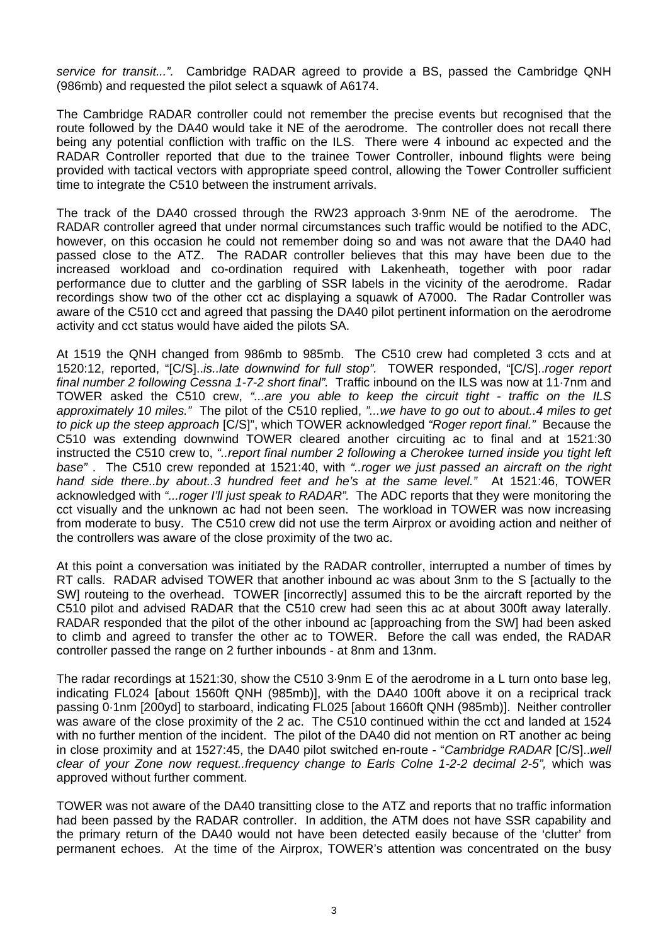*service for transit...".* Cambridge RADAR agreed to provide a BS, passed the Cambridge QNH (986mb) and requested the pilot select a squawk of A6174.

The Cambridge RADAR controller could not remember the precise events but recognised that the route followed by the DA40 would take it NE of the aerodrome. The controller does not recall there being any potential confliction with traffic on the ILS. There were 4 inbound ac expected and the RADAR Controller reported that due to the trainee Tower Controller, inbound flights were being provided with tactical vectors with appropriate speed control, allowing the Tower Controller sufficient time to integrate the C510 between the instrument arrivals.

The track of the DA40 crossed through the RW23 approach 3·9nm NE of the aerodrome. The RADAR controller agreed that under normal circumstances such traffic would be notified to the ADC, however, on this occasion he could not remember doing so and was not aware that the DA40 had passed close to the ATZ. The RADAR controller believes that this may have been due to the increased workload and co-ordination required with Lakenheath, together with poor radar performance due to clutter and the garbling of SSR labels in the vicinity of the aerodrome. Radar recordings show two of the other cct ac displaying a squawk of A7000. The Radar Controller was aware of the C510 cct and agreed that passing the DA40 pilot pertinent information on the aerodrome activity and cct status would have aided the pilots SA.

At 1519 the QNH changed from 986mb to 985mb. The C510 crew had completed 3 ccts and at 1520:12, reported, "[C/S]..*is..late downwind for full stop".* TOWER responded, "[C/S]..*roger report final number 2 following Cessna 1-7-2 short final".* Traffic inbound on the ILS was now at 11·7nm and TOWER asked the C510 crew, *"...are you able to keep the circuit tight - traffic on the ILS approximately 10 miles."* The pilot of the C510 replied, *"...we have to go out to about..4 miles to get to pick up the steep approach* [C/S]", which TOWER acknowledged *"Roger report final."* Because the C510 was extending downwind TOWER cleared another circuiting ac to final and at 1521:30 instructed the C510 crew to, *"..report final number 2 following a Cherokee turned inside you tight left base"* . The C510 crew reponded at 1521:40, with *"..roger we just passed an aircraft on the right hand side there..by about..3 hundred feet and he's at the same level."* At 1521:46, TOWER acknowledged with *"...roger I'll just speak to RADAR".* The ADC reports that they were monitoring the cct visually and the unknown ac had not been seen. The workload in TOWER was now increasing from moderate to busy. The C510 crew did not use the term Airprox or avoiding action and neither of the controllers was aware of the close proximity of the two ac.

At this point a conversation was initiated by the RADAR controller, interrupted a number of times by RT calls. RADAR advised TOWER that another inbound ac was about 3nm to the S [actually to the SW] routeing to the overhead. TOWER [incorrectly] assumed this to be the aircraft reported by the C510 pilot and advised RADAR that the C510 crew had seen this ac at about 300ft away laterally. RADAR responded that the pilot of the other inbound ac [approaching from the SW] had been asked to climb and agreed to transfer the other ac to TOWER. Before the call was ended, the RADAR controller passed the range on 2 further inbounds - at 8nm and 13nm.

The radar recordings at 1521:30, show the C510 3·9nm E of the aerodrome in a L turn onto base leg, indicating FL024 [about 1560ft QNH (985mb)], with the DA40 100ft above it on a reciprical track passing 0·1nm [200yd] to starboard, indicating FL025 [about 1660ft QNH (985mb)]. Neither controller was aware of the close proximity of the 2 ac. The C510 continued within the cct and landed at 1524 with no further mention of the incident. The pilot of the DA40 did not mention on RT another ac being in close proximity and at 1527:45, the DA40 pilot switched en-route - "*Cambridge RADAR* [C/S]..*well clear of your Zone now request..frequency change to Earls Colne 1-2-2 decimal 2-5",* which was approved without further comment.

TOWER was not aware of the DA40 transitting close to the ATZ and reports that no traffic information had been passed by the RADAR controller. In addition, the ATM does not have SSR capability and the primary return of the DA40 would not have been detected easily because of the 'clutter' from permanent echoes. At the time of the Airprox, TOWER's attention was concentrated on the busy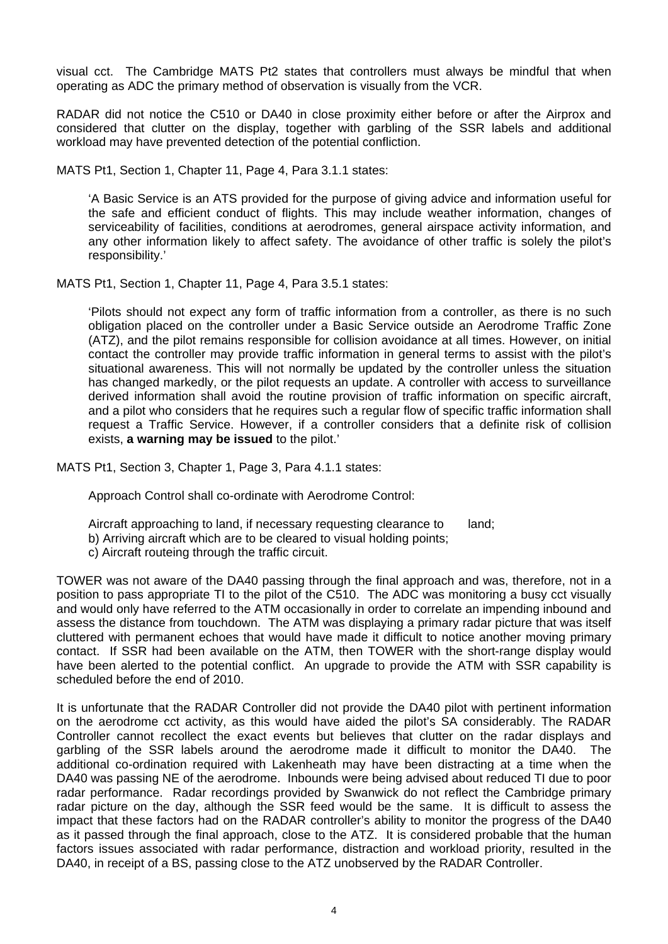visual cct. The Cambridge MATS Pt2 states that controllers must always be mindful that when operating as ADC the primary method of observation is visually from the VCR.

RADAR did not notice the C510 or DA40 in close proximity either before or after the Airprox and considered that clutter on the display, together with garbling of the SSR labels and additional workload may have prevented detection of the potential confliction.

MATS Pt1, Section 1, Chapter 11, Page 4, Para 3.1.1 states:

'A Basic Service is an ATS provided for the purpose of giving advice and information useful for the safe and efficient conduct of flights. This may include weather information, changes of serviceability of facilities, conditions at aerodromes, general airspace activity information, and any other information likely to affect safety. The avoidance of other traffic is solely the pilot's responsibility.'

MATS Pt1, Section 1, Chapter 11, Page 4, Para 3.5.1 states:

'Pilots should not expect any form of traffic information from a controller, as there is no such obligation placed on the controller under a Basic Service outside an Aerodrome Traffic Zone (ATZ), and the pilot remains responsible for collision avoidance at all times. However, on initial contact the controller may provide traffic information in general terms to assist with the pilot's situational awareness. This will not normally be updated by the controller unless the situation has changed markedly, or the pilot requests an update. A controller with access to surveillance derived information shall avoid the routine provision of traffic information on specific aircraft, and a pilot who considers that he requires such a regular flow of specific traffic information shall request a Traffic Service. However, if a controller considers that a definite risk of collision exists, **a warning may be issued** to the pilot.'

MATS Pt1, Section 3, Chapter 1, Page 3, Para 4.1.1 states:

Approach Control shall co-ordinate with Aerodrome Control:

Aircraft approaching to land, if necessary requesting clearance to land;

b) Arriving aircraft which are to be cleared to visual holding points;

c) Aircraft routeing through the traffic circuit.

TOWER was not aware of the DA40 passing through the final approach and was, therefore, not in a position to pass appropriate TI to the pilot of the C510. The ADC was monitoring a busy cct visually and would only have referred to the ATM occasionally in order to correlate an impending inbound and assess the distance from touchdown. The ATM was displaying a primary radar picture that was itself cluttered with permanent echoes that would have made it difficult to notice another moving primary contact. If SSR had been available on the ATM, then TOWER with the short-range display would have been alerted to the potential conflict. An upgrade to provide the ATM with SSR capability is scheduled before the end of 2010.

It is unfortunate that the RADAR Controller did not provide the DA40 pilot with pertinent information on the aerodrome cct activity, as this would have aided the pilot's SA considerably. The RADAR Controller cannot recollect the exact events but believes that clutter on the radar displays and garbling of the SSR labels around the aerodrome made it difficult to monitor the DA40. The additional co-ordination required with Lakenheath may have been distracting at a time when the DA40 was passing NE of the aerodrome. Inbounds were being advised about reduced TI due to poor radar performance. Radar recordings provided by Swanwick do not reflect the Cambridge primary radar picture on the day, although the SSR feed would be the same. It is difficult to assess the impact that these factors had on the RADAR controller's ability to monitor the progress of the DA40 as it passed through the final approach, close to the ATZ. It is considered probable that the human factors issues associated with radar performance, distraction and workload priority, resulted in the DA40, in receipt of a BS, passing close to the ATZ unobserved by the RADAR Controller.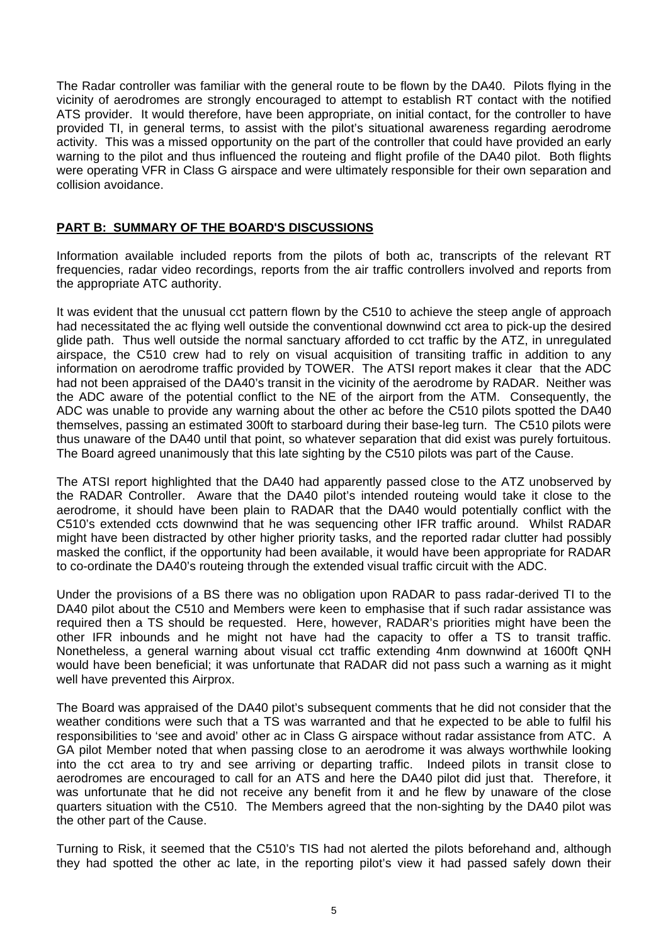The Radar controller was familiar with the general route to be flown by the DA40. Pilots flying in the vicinity of aerodromes are strongly encouraged to attempt to establish RT contact with the notified ATS provider. It would therefore, have been appropriate, on initial contact, for the controller to have provided TI, in general terms, to assist with the pilot's situational awareness regarding aerodrome activity. This was a missed opportunity on the part of the controller that could have provided an early warning to the pilot and thus influenced the routeing and flight profile of the DA40 pilot. Both flights were operating VFR in Class G airspace and were ultimately responsible for their own separation and collision avoidance.

## **PART B: SUMMARY OF THE BOARD'S DISCUSSIONS**

Information available included reports from the pilots of both ac, transcripts of the relevant RT frequencies, radar video recordings, reports from the air traffic controllers involved and reports from the appropriate ATC authority.

It was evident that the unusual cct pattern flown by the C510 to achieve the steep angle of approach had necessitated the ac flying well outside the conventional downwind cct area to pick-up the desired glide path. Thus well outside the normal sanctuary afforded to cct traffic by the ATZ, in unregulated airspace, the C510 crew had to rely on visual acquisition of transiting traffic in addition to any information on aerodrome traffic provided by TOWER. The ATSI report makes it clear that the ADC had not been appraised of the DA40's transit in the vicinity of the aerodrome by RADAR. Neither was the ADC aware of the potential conflict to the NE of the airport from the ATM. Consequently, the ADC was unable to provide any warning about the other ac before the C510 pilots spotted the DA40 themselves, passing an estimated 300ft to starboard during their base-leg turn. The C510 pilots were thus unaware of the DA40 until that point, so whatever separation that did exist was purely fortuitous. The Board agreed unanimously that this late sighting by the C510 pilots was part of the Cause.

The ATSI report highlighted that the DA40 had apparently passed close to the ATZ unobserved by the RADAR Controller. Aware that the DA40 pilot's intended routeing would take it close to the aerodrome, it should have been plain to RADAR that the DA40 would potentially conflict with the C510's extended ccts downwind that he was sequencing other IFR traffic around. Whilst RADAR might have been distracted by other higher priority tasks, and the reported radar clutter had possibly masked the conflict, if the opportunity had been available, it would have been appropriate for RADAR to co-ordinate the DA40's routeing through the extended visual traffic circuit with the ADC.

Under the provisions of a BS there was no obligation upon RADAR to pass radar-derived TI to the DA40 pilot about the C510 and Members were keen to emphasise that if such radar assistance was required then a TS should be requested. Here, however, RADAR's priorities might have been the other IFR inbounds and he might not have had the capacity to offer a TS to transit traffic. Nonetheless, a general warning about visual cct traffic extending 4nm downwind at 1600ft QNH would have been beneficial; it was unfortunate that RADAR did not pass such a warning as it might well have prevented this Airprox.

The Board was appraised of the DA40 pilot's subsequent comments that he did not consider that the weather conditions were such that a TS was warranted and that he expected to be able to fulfil his responsibilities to 'see and avoid' other ac in Class G airspace without radar assistance from ATC. A GA pilot Member noted that when passing close to an aerodrome it was always worthwhile looking into the cct area to try and see arriving or departing traffic. Indeed pilots in transit close to aerodromes are encouraged to call for an ATS and here the DA40 pilot did just that. Therefore, it was unfortunate that he did not receive any benefit from it and he flew by unaware of the close quarters situation with the C510. The Members agreed that the non-sighting by the DA40 pilot was the other part of the Cause.

Turning to Risk, it seemed that the C510's TIS had not alerted the pilots beforehand and, although they had spotted the other ac late, in the reporting pilot's view it had passed safely down their